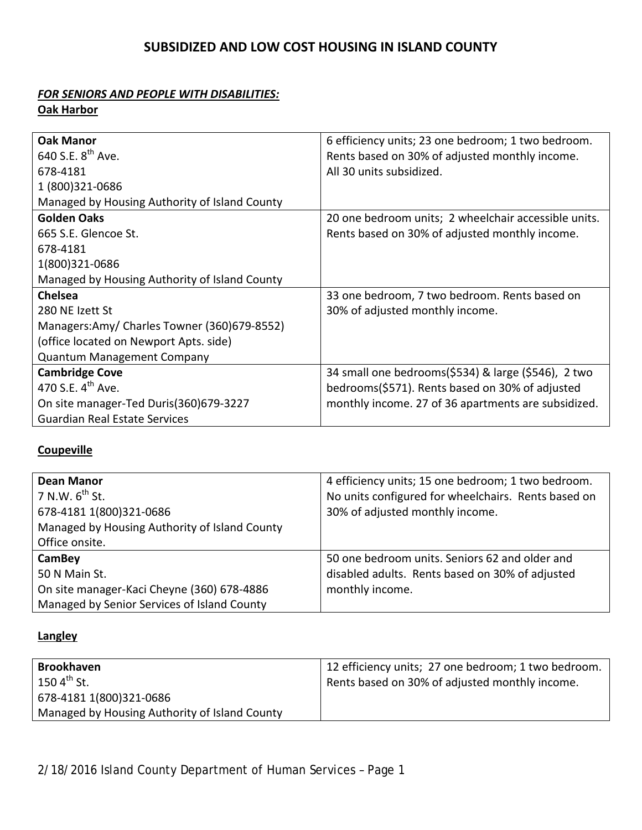## **SUBSIDIZED AND LOW COST HOUSING IN ISLAND COUNTY**

## *FOR SENIORS AND PEOPLE WITH DISABILITIES:*

**Oak Harbor**

| <b>Oak Manor</b>                              | 6 efficiency units; 23 one bedroom; 1 two bedroom.   |
|-----------------------------------------------|------------------------------------------------------|
| 640 S.E. $8^{th}$ Ave.                        | Rents based on 30% of adjusted monthly income.       |
| 678-4181                                      | All 30 units subsidized.                             |
| 1 (800) 321-0686                              |                                                      |
| Managed by Housing Authority of Island County |                                                      |
| <b>Golden Oaks</b>                            | 20 one bedroom units; 2 wheelchair accessible units. |
| 665 S.E. Glencoe St.                          | Rents based on 30% of adjusted monthly income.       |
| 678-4181                                      |                                                      |
| 1(800)321-0686                                |                                                      |
| Managed by Housing Authority of Island County |                                                      |
| <b>Chelsea</b>                                | 33 one bedroom, 7 two bedroom. Rents based on        |
| 280 NE Izett St                               | 30% of adjusted monthly income.                      |
| Managers:Amy/ Charles Towner (360)679-8552)   |                                                      |
| (office located on Newport Apts. side)        |                                                      |
| <b>Quantum Management Company</b>             |                                                      |
| <b>Cambridge Cove</b>                         | 34 small one bedrooms(\$534) & large (\$546), 2 two  |
| 470 S.E. $4^{th}$ Ave.                        | bedrooms(\$571). Rents based on 30% of adjusted      |
| On site manager-Ted Duris(360)679-3227        | monthly income. 27 of 36 apartments are subsidized.  |
| <b>Guardian Real Estate Services</b>          |                                                      |

## **Coupeville**

| Dean Manor                                    | 4 efficiency units; 15 one bedroom; 1 two bedroom.  |
|-----------------------------------------------|-----------------------------------------------------|
| $7$ N.W. $6^{th}$ St.                         | No units configured for wheelchairs. Rents based on |
| 678-4181 1(800)321-0686                       | 30% of adjusted monthly income.                     |
| Managed by Housing Authority of Island County |                                                     |
| Office onsite.                                |                                                     |
| CamBey                                        | 50 one bedroom units. Seniors 62 and older and      |
| 50 N Main St.                                 | disabled adults. Rents based on 30% of adjusted     |
| On site manager-Kaci Cheyne (360) 678-4886    | monthly income.                                     |
| Managed by Senior Services of Island County   |                                                     |

### **Langley**

| <b>Brookhaven</b>                             | 12 efficiency units; 27 one bedroom; 1 two bedroom. |
|-----------------------------------------------|-----------------------------------------------------|
| 150 $4^{\text{th}}$ St.                       | Rents based on 30% of adjusted monthly income.      |
| 678-4181 1(800)321-0686                       |                                                     |
| Managed by Housing Authority of Island County |                                                     |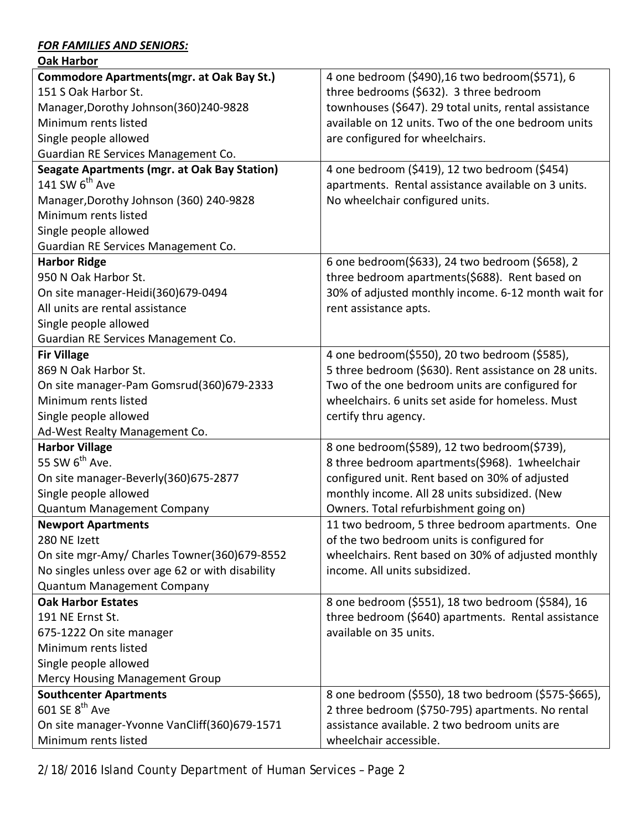#### *FOR FAMILIES AND SENIORS:*

| <b>Oak Harbor</b>                                   |                                                       |
|-----------------------------------------------------|-------------------------------------------------------|
| <b>Commodore Apartments (mgr. at Oak Bay St.)</b>   | 4 one bedroom (\$490), 16 two bedroom(\$571), 6       |
| 151 S Oak Harbor St.                                | three bedrooms (\$632). 3 three bedroom               |
| Manager, Dorothy Johnson (360) 240-9828             | townhouses (\$647). 29 total units, rental assistance |
| Minimum rents listed                                | available on 12 units. Two of the one bedroom units   |
| Single people allowed                               | are configured for wheelchairs.                       |
| Guardian RE Services Management Co.                 |                                                       |
| <b>Seagate Apartments (mgr. at Oak Bay Station)</b> | 4 one bedroom (\$419), 12 two bedroom (\$454)         |
| 141 SW 6 <sup>th</sup> Ave                          | apartments. Rental assistance available on 3 units.   |
| Manager, Dorothy Johnson (360) 240-9828             | No wheelchair configured units.                       |
| Minimum rents listed                                |                                                       |
| Single people allowed                               |                                                       |
| Guardian RE Services Management Co.                 |                                                       |
| <b>Harbor Ridge</b>                                 | 6 one bedroom(\$633), 24 two bedroom (\$658), 2       |
| 950 N Oak Harbor St.                                | three bedroom apartments(\$688). Rent based on        |
| On site manager-Heidi(360)679-0494                  | 30% of adjusted monthly income. 6-12 month wait for   |
| All units are rental assistance                     | rent assistance apts.                                 |
| Single people allowed                               |                                                       |
| Guardian RE Services Management Co.                 |                                                       |
| <b>Fir Village</b>                                  | 4 one bedroom(\$550), 20 two bedroom (\$585),         |
| 869 N Oak Harbor St.                                | 5 three bedroom (\$630). Rent assistance on 28 units. |
| On site manager-Pam Gomsrud(360)679-2333            | Two of the one bedroom units are configured for       |
| Minimum rents listed                                | wheelchairs. 6 units set aside for homeless. Must     |
| Single people allowed                               | certify thru agency.                                  |
| Ad-West Realty Management Co.                       |                                                       |
| <b>Harbor Village</b>                               | 8 one bedroom(\$589), 12 two bedroom(\$739),          |
| 55 SW 6 <sup>th</sup> Ave.                          | 8 three bedroom apartments(\$968). 1wheelchair        |
| On site manager-Beverly(360)675-2877                | configured unit. Rent based on 30% of adjusted        |
| Single people allowed                               | monthly income. All 28 units subsidized. (New         |
| <b>Quantum Management Company</b>                   | Owners. Total refurbishment going on)                 |
| <b>Newport Apartments</b>                           | 11 two bedroom, 5 three bedroom apartments. One       |
| 280 NE Izett                                        | of the two bedroom units is configured for            |
| On site mgr-Amy/ Charles Towner(360)679-8552        | wheelchairs. Rent based on 30% of adjusted monthly    |
| No singles unless over age 62 or with disability    | income. All units subsidized.                         |
| <b>Quantum Management Company</b>                   |                                                       |
| <b>Oak Harbor Estates</b>                           | 8 one bedroom (\$551), 18 two bedroom (\$584), 16     |
| 191 NE Ernst St.                                    | three bedroom (\$640) apartments. Rental assistance   |
| 675-1222 On site manager                            | available on 35 units.                                |
| Minimum rents listed                                |                                                       |
| Single people allowed                               |                                                       |
| <b>Mercy Housing Management Group</b>               |                                                       |
| <b>Southcenter Apartments</b>                       | 8 one bedroom (\$550), 18 two bedroom (\$575-\$665),  |
| $601$ SE $8^{\text{th}}$ Ave                        | 2 three bedroom (\$750-795) apartments. No rental     |
| On site manager-Yvonne VanCliff(360)679-1571        | assistance available. 2 two bedroom units are         |
| Minimum rents listed                                | wheelchair accessible.                                |

2/18/2016 Island County Department of Human Services – Page 2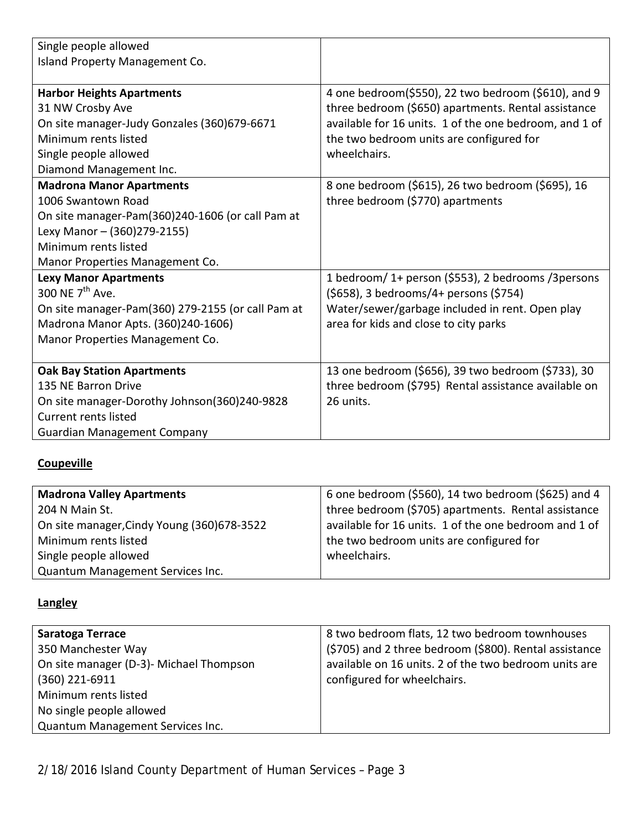| Single people allowed                             |                                                        |
|---------------------------------------------------|--------------------------------------------------------|
| Island Property Management Co.                    |                                                        |
|                                                   |                                                        |
| <b>Harbor Heights Apartments</b>                  | 4 one bedroom(\$550), 22 two bedroom (\$610), and 9    |
| 31 NW Crosby Ave                                  | three bedroom (\$650) apartments. Rental assistance    |
| On site manager-Judy Gonzales (360)679-6671       | available for 16 units. 1 of the one bedroom, and 1 of |
| Minimum rents listed                              | the two bedroom units are configured for               |
| Single people allowed                             | wheelchairs.                                           |
| Diamond Management Inc.                           |                                                        |
| <b>Madrona Manor Apartments</b>                   | 8 one bedroom (\$615), 26 two bedroom (\$695), 16      |
| 1006 Swantown Road                                | three bedroom (\$770) apartments                       |
| On site manager-Pam(360)240-1606 (or call Pam at  |                                                        |
| Lexy Manor - (360)279-2155)                       |                                                        |
| Minimum rents listed                              |                                                        |
| Manor Properties Management Co.                   |                                                        |
| <b>Lexy Manor Apartments</b>                      | 1 bedroom/ 1+ person (\$553), 2 bedrooms /3 persons    |
| 300 NE 7 <sup>th</sup> Ave.                       | (\$658), 3 bedrooms/4+ persons (\$754)                 |
| On site manager-Pam(360) 279-2155 (or call Pam at | Water/sewer/garbage included in rent. Open play        |
| Madrona Manor Apts. (360)240-1606)                | area for kids and close to city parks                  |
| Manor Properties Management Co.                   |                                                        |
|                                                   |                                                        |
| <b>Oak Bay Station Apartments</b>                 | 13 one bedroom (\$656), 39 two bedroom (\$733), 30     |
| 135 NE Barron Drive                               | three bedroom (\$795) Rental assistance available on   |
| On site manager-Dorothy Johnson(360)240-9828      | 26 units.                                              |
| <b>Current rents listed</b>                       |                                                        |
| <b>Guardian Management Company</b>                |                                                        |

# **Coupeville**

| <b>Madrona Valley Apartments</b>            | 6 one bedroom (\$560), 14 two bedroom (\$625) and 4   |
|---------------------------------------------|-------------------------------------------------------|
| 204 N Main St.                              | three bedroom (\$705) apartments. Rental assistance   |
| On site manager, Cindy Young (360) 678-3522 | available for 16 units. 1 of the one bedroom and 1 of |
| Minimum rents listed                        | the two bedroom units are configured for              |
| Single people allowed                       | wheelchairs.                                          |
| Quantum Management Services Inc.            |                                                       |

## **Langley**

| Saratoga Terrace                        | 8 two bedroom flats, 12 two bedroom townhouses         |
|-----------------------------------------|--------------------------------------------------------|
| 350 Manchester Way                      | (\$705) and 2 three bedroom (\$800). Rental assistance |
| On site manager (D-3)- Michael Thompson | available on 16 units. 2 of the two bedroom units are  |
| $(360)$ 221-6911                        | configured for wheelchairs.                            |
| Minimum rents listed                    |                                                        |
| No single people allowed                |                                                        |
| Quantum Management Services Inc.        |                                                        |